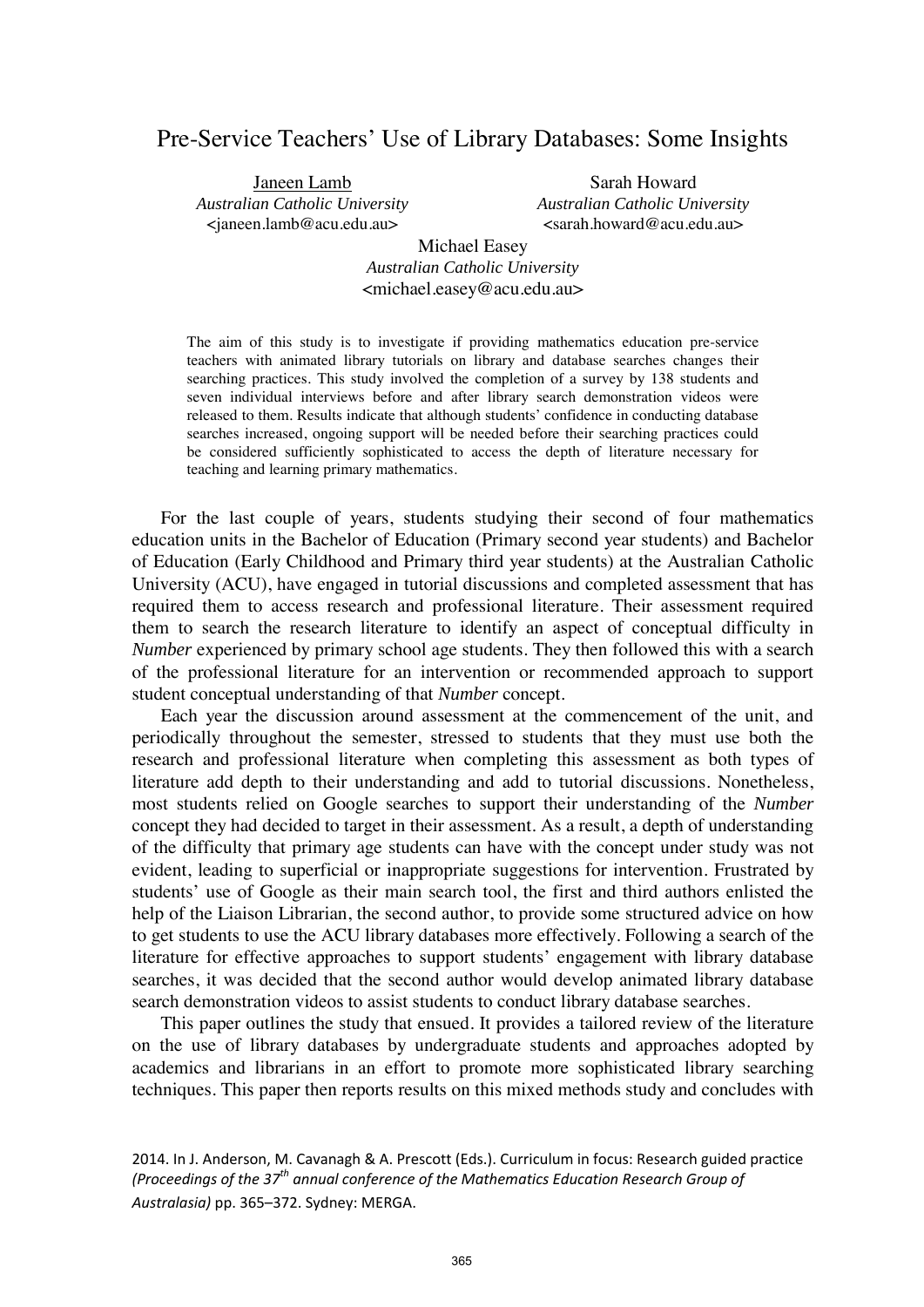# Pre-Service Teachers' Use of Library Databases: Some Insights

Janeen Lamb *Australian Catholic University* <janeen.lamb@acu.edu.au>

Sarah Howard *Australian Catholic University* <sarah.howard@acu.edu.au>

Michael Easey *Australian Catholic University* <michael.easey@acu.edu.au>

The aim of this study is to investigate if providing mathematics education pre-service teachers with animated library tutorials on library and database searches changes their searching practices. This study involved the completion of a survey by 138 students and seven individual interviews before and after library search demonstration videos were released to them. Results indicate that although students' confidence in conducting database searches increased, ongoing support will be needed before their searching practices could be considered sufficiently sophisticated to access the depth of literature necessary for teaching and learning primary mathematics.

For the last couple of years, students studying their second of four mathematics education units in the Bachelor of Education (Primary second year students) and Bachelor of Education (Early Childhood and Primary third year students) at the Australian Catholic University (ACU), have engaged in tutorial discussions and completed assessment that has required them to access research and professional literature. Their assessment required them to search the research literature to identify an aspect of conceptual difficulty in *Number* experienced by primary school age students. They then followed this with a search of the professional literature for an intervention or recommended approach to support student conceptual understanding of that *Number* concept.

Each year the discussion around assessment at the commencement of the unit, and periodically throughout the semester, stressed to students that they must use both the research and professional literature when completing this assessment as both types of literature add depth to their understanding and add to tutorial discussions. Nonetheless, most students relied on Google searches to support their understanding of the *Number* concept they had decided to target in their assessment. As a result, a depth of understanding of the difficulty that primary age students can have with the concept under study was not evident, leading to superficial or inappropriate suggestions for intervention. Frustrated by students' use of Google as their main search tool, the first and third authors enlisted the help of the Liaison Librarian, the second author, to provide some structured advice on how to get students to use the ACU library databases more effectively. Following a search of the literature for effective approaches to support students' engagement with library database searches, it was decided that the second author would develop animated library database search demonstration videos to assist students to conduct library database searches.

This paper outlines the study that ensued. It provides a tailored review of the literature on the use of library databases by undergraduate students and approaches adopted by academics and librarians in an effort to promote more sophisticated library searching techniques. This paper then reports results on this mixed methods study and concludes with

<sup>2014.</sup> In J. Anderson, M. Cavanagh & A. Prescott (Eds.). Curriculum in focus: Research guided practice *(Proceedings of the 37th annual conference of the Mathematics Education Research Group of Australasia)* pp. 365–372. Sydney: MERGA.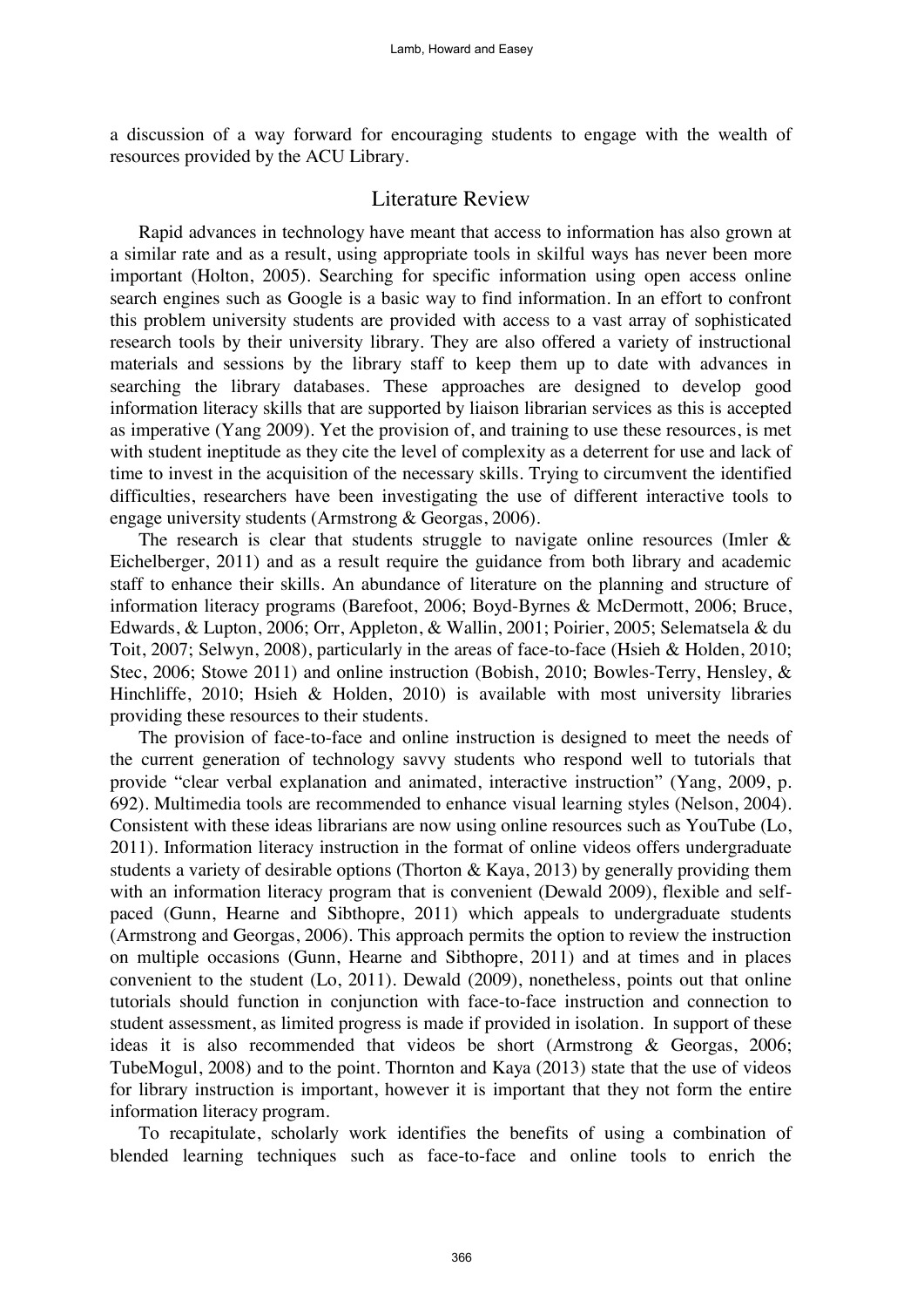a discussion of a way forward for encouraging students to engage with the wealth of resources provided by the ACU Library.

# Literature Review

Rapid advances in technology have meant that access to information has also grown at a similar rate and as a result, using appropriate tools in skilful ways has never been more important (Holton, 2005). Searching for specific information using open access online search engines such as Google is a basic way to find information. In an effort to confront this problem university students are provided with access to a vast array of sophisticated research tools by their university library. They are also offered a variety of instructional materials and sessions by the library staff to keep them up to date with advances in searching the library databases. These approaches are designed to develop good information literacy skills that are supported by liaison librarian services as this is accepted as imperative (Yang 2009). Yet the provision of, and training to use these resources, is met with student ineptitude as they cite the level of complexity as a deterrent for use and lack of time to invest in the acquisition of the necessary skills. Trying to circumvent the identified difficulties, researchers have been investigating the use of different interactive tools to engage university students (Armstrong & Georgas, 2006).

The research is clear that students struggle to navigate online resources (Imler  $\&$ Eichelberger, 2011) and as a result require the guidance from both library and academic staff to enhance their skills. An abundance of literature on the planning and structure of information literacy programs (Barefoot, 2006; Boyd-Byrnes & McDermott, 2006; Bruce, Edwards, & Lupton, 2006; Orr, Appleton, & Wallin, 2001; Poirier, 2005; Selematsela & du Toit, 2007; Selwyn, 2008), particularly in the areas of face-to-face (Hsieh & Holden, 2010; Stec, 2006; Stowe 2011) and online instruction (Bobish, 2010; Bowles-Terry, Hensley, & Hinchliffe, 2010; Hsieh & Holden, 2010) is available with most university libraries providing these resources to their students.

The provision of face-to-face and online instruction is designed to meet the needs of the current generation of technology savvy students who respond well to tutorials that provide "clear verbal explanation and animated, interactive instruction" (Yang, 2009, p. 692). Multimedia tools are recommended to enhance visual learning styles (Nelson, 2004). Consistent with these ideas librarians are now using online resources such as YouTube (Lo, 2011). Information literacy instruction in the format of online videos offers undergraduate students a variety of desirable options (Thorton & Kaya, 2013) by generally providing them with an information literacy program that is convenient (Dewald 2009), flexible and selfpaced (Gunn, Hearne and Sibthopre, 2011) which appeals to undergraduate students (Armstrong and Georgas, 2006). This approach permits the option to review the instruction on multiple occasions (Gunn, Hearne and Sibthopre, 2011) and at times and in places convenient to the student (Lo, 2011). Dewald (2009), nonetheless, points out that online tutorials should function in conjunction with face-to-face instruction and connection to student assessment, as limited progress is made if provided in isolation. In support of these ideas it is also recommended that videos be short (Armstrong & Georgas, 2006; TubeMogul, 2008) and to the point. Thornton and Kaya (2013) state that the use of videos for library instruction is important, however it is important that they not form the entire information literacy program.

To recapitulate, scholarly work identifies the benefits of using a combination of blended learning techniques such as face-to-face and online tools to enrich the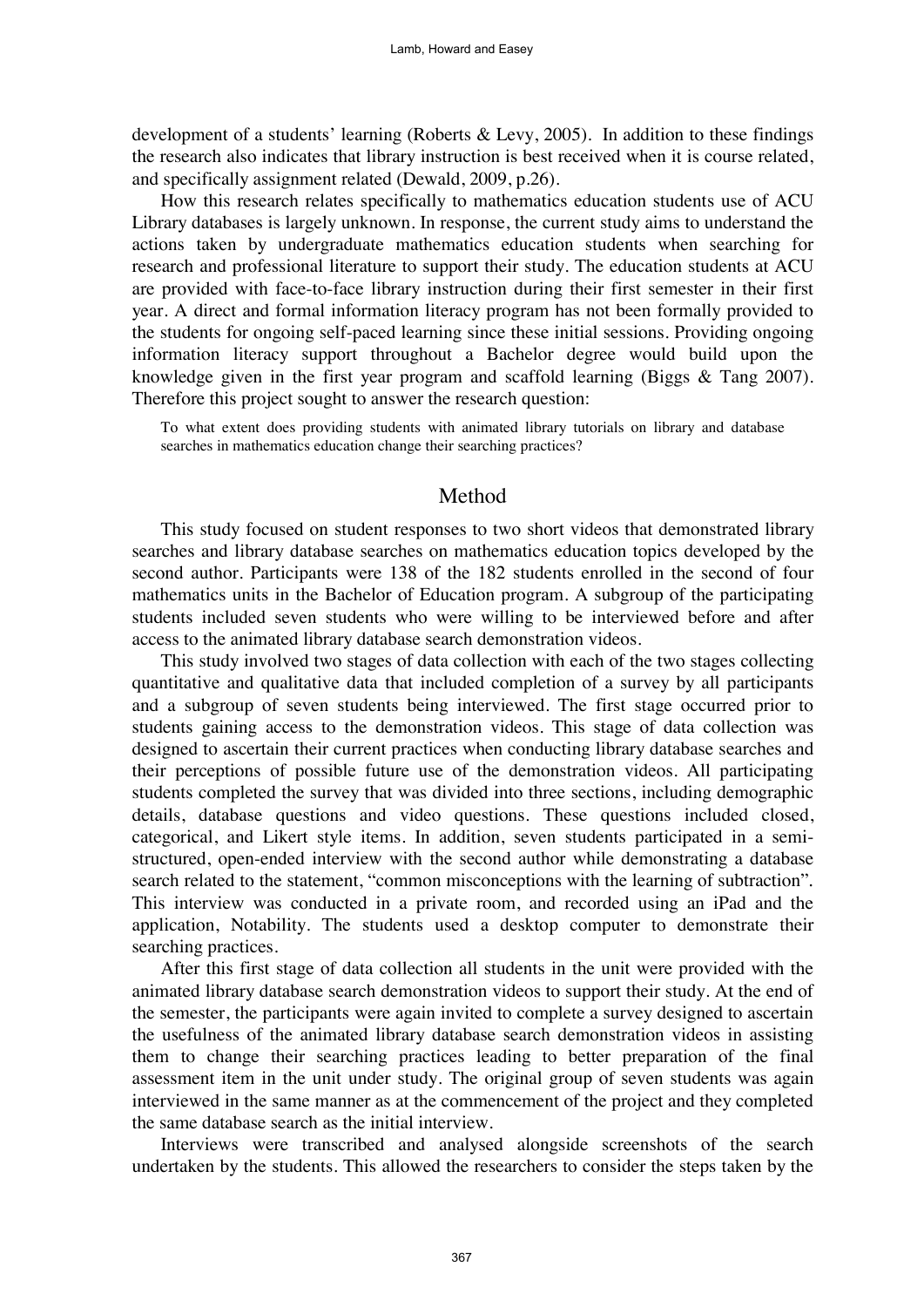development of a students' learning (Roberts & Levy, 2005). In addition to these findings the research also indicates that library instruction is best received when it is course related, and specifically assignment related (Dewald, 2009, p.26).

How this research relates specifically to mathematics education students use of ACU Library databases is largely unknown. In response, the current study aims to understand the actions taken by undergraduate mathematics education students when searching for research and professional literature to support their study. The education students at ACU are provided with face-to-face library instruction during their first semester in their first year. A direct and formal information literacy program has not been formally provided to the students for ongoing self-paced learning since these initial sessions. Providing ongoing information literacy support throughout a Bachelor degree would build upon the knowledge given in the first year program and scaffold learning (Biggs & Tang 2007). Therefore this project sought to answer the research question:

To what extent does providing students with animated library tutorials on library and database searches in mathematics education change their searching practices?

#### Method

This study focused on student responses to two short videos that demonstrated library searches and library database searches on mathematics education topics developed by the second author. Participants were 138 of the 182 students enrolled in the second of four mathematics units in the Bachelor of Education program. A subgroup of the participating students included seven students who were willing to be interviewed before and after access to the animated library database search demonstration videos.

This study involved two stages of data collection with each of the two stages collecting quantitative and qualitative data that included completion of a survey by all participants and a subgroup of seven students being interviewed. The first stage occurred prior to students gaining access to the demonstration videos. This stage of data collection was designed to ascertain their current practices when conducting library database searches and their perceptions of possible future use of the demonstration videos. All participating students completed the survey that was divided into three sections, including demographic details, database questions and video questions. These questions included closed, categorical, and Likert style items. In addition, seven students participated in a semistructured, open-ended interview with the second author while demonstrating a database search related to the statement, "common misconceptions with the learning of subtraction"*.* This interview was conducted in a private room, and recorded using an iPad and the application, Notability. The students used a desktop computer to demonstrate their searching practices.

After this first stage of data collection all students in the unit were provided with the animated library database search demonstration videos to support their study. At the end of the semester, the participants were again invited to complete a survey designed to ascertain the usefulness of the animated library database search demonstration videos in assisting them to change their searching practices leading to better preparation of the final assessment item in the unit under study. The original group of seven students was again interviewed in the same manner as at the commencement of the project and they completed the same database search as the initial interview.

Interviews were transcribed and analysed alongside screenshots of the search undertaken by the students. This allowed the researchers to consider the steps taken by the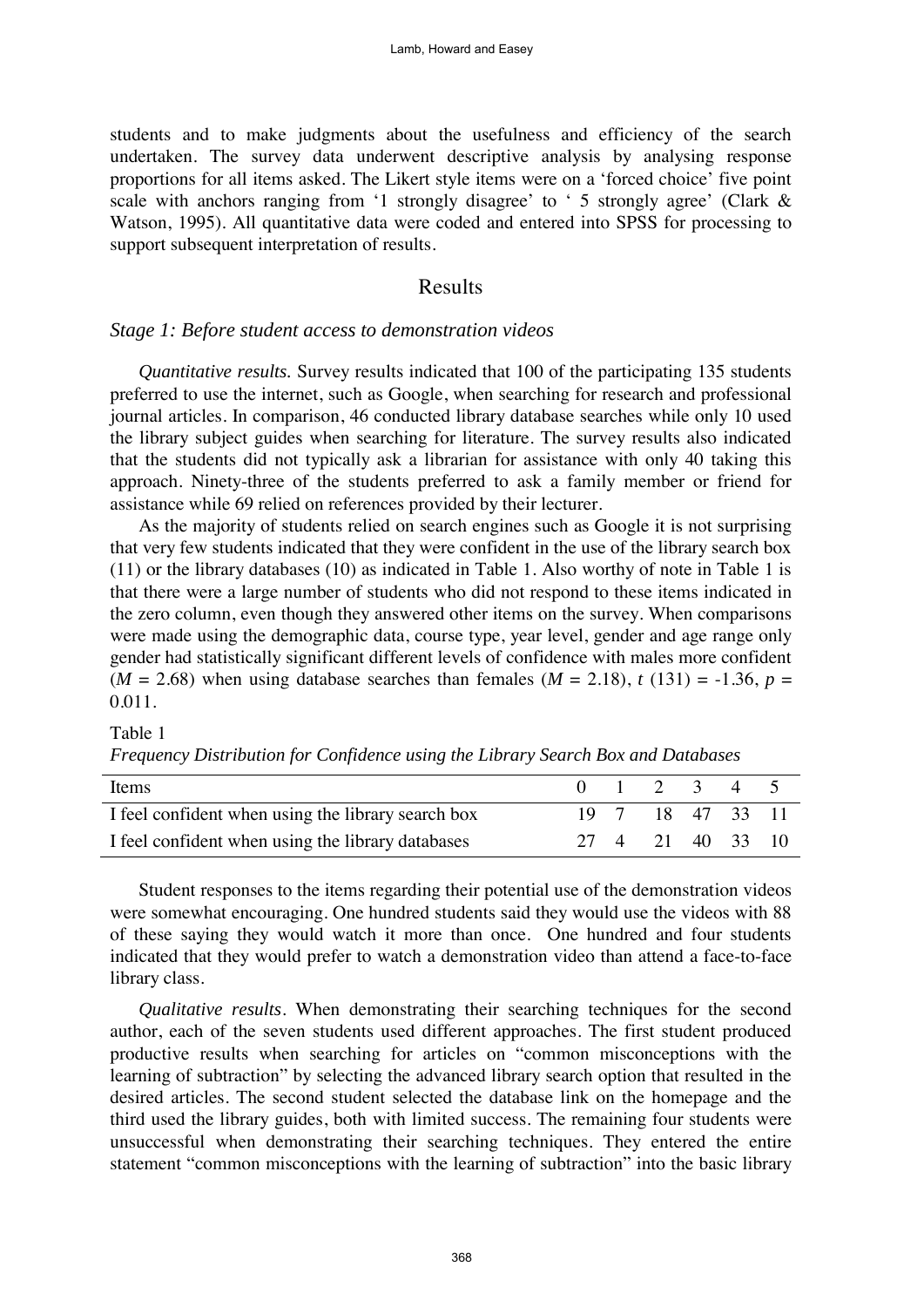students and to make judgments about the usefulness and efficiency of the search undertaken. The survey data underwent descriptive analysis by analysing response proportions for all items asked. The Likert style items were on a 'forced choice' five point scale with anchors ranging from '1 strongly disagree' to '5 strongly agree' (Clark & Watson, 1995). All quantitative data were coded and entered into SPSS for processing to support subsequent interpretation of results.

## Results

#### *Stage 1: Before student access to demonstration videos*

*Quantitative results.* Survey results indicated that 100 of the participating 135 students preferred to use the internet, such as Google, when searching for research and professional journal articles. In comparison, 46 conducted library database searches while only 10 used the library subject guides when searching for literature. The survey results also indicated that the students did not typically ask a librarian for assistance with only 40 taking this approach. Ninety-three of the students preferred to ask a family member or friend for assistance while 69 relied on references provided by their lecturer.

As the majority of students relied on search engines such as Google it is not surprising that very few students indicated that they were confident in the use of the library search box (11) or the library databases (10) as indicated in Table 1. Also worthy of note in Table 1 is that there were a large number of students who did not respond to these items indicated in the zero column, even though they answered other items on the survey. When comparisons were made using the demographic data, course type, year level, gender and age range only gender had statistically significant different levels of confidence with males more confident  $(M = 2.68)$  when using database searches than females  $(M = 2.18)$ ,  $t(131) = -1.36$ ,  $p =$ 0.011.

#### Table 1

|  |  |  | Frequency Distribution for Confidence using the Library Search Box and Databases |
|--|--|--|----------------------------------------------------------------------------------|
|--|--|--|----------------------------------------------------------------------------------|

| Items                                              | $0 \t1 \t2 \t3 \t4 \t5$ |  |  |
|----------------------------------------------------|-------------------------|--|--|
| I feel confident when using the library search box | 19 7 18 47 33 11        |  |  |
| I feel confident when using the library databases  | 27 4 21 40 33 10        |  |  |

Student responses to the items regarding their potential use of the demonstration videos were somewhat encouraging. One hundred students said they would use the videos with 88 of these saying they would watch it more than once. One hundred and four students indicated that they would prefer to watch a demonstration video than attend a face-to-face library class.

*Qualitative results*. When demonstrating their searching techniques for the second author, each of the seven students used different approaches. The first student produced productive results when searching for articles on "common misconceptions with the learning of subtraction" by selecting the advanced library search option that resulted in the desired articles. The second student selected the database link on the homepage and the third used the library guides, both with limited success. The remaining four students were unsuccessful when demonstrating their searching techniques. They entered the entire statement "common misconceptions with the learning of subtraction" into the basic library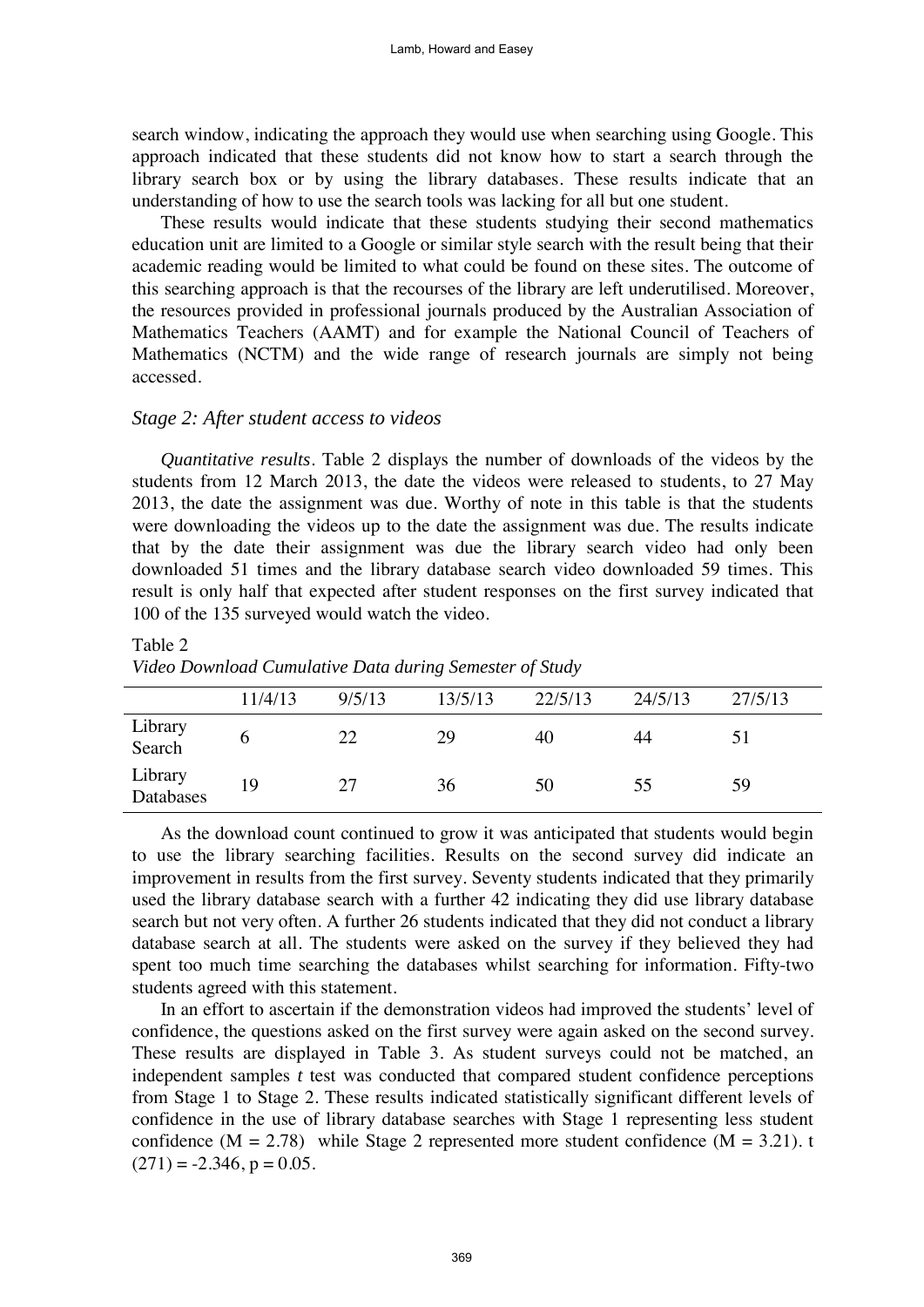search window, indicating the approach they would use when searching using Google. This approach indicated that these students did not know how to start a search through the library search box or by using the library databases. These results indicate that an understanding of how to use the search tools was lacking for all but one student.

These results would indicate that these students studying their second mathematics education unit are limited to a Google or similar style search with the result being that their academic reading would be limited to what could be found on these sites. The outcome of this searching approach is that the recourses of the library are left underutilised. Moreover, the resources provided in professional journals produced by the Australian Association of Mathematics Teachers (AAMT) and for example the National Council of Teachers of Mathematics (NCTM) and the wide range of research journals are simply not being accessed.

#### *Stage 2: After student access to videos*

*Quantitative results*. Table 2 displays the number of downloads of the videos by the students from 12 March 2013, the date the videos were released to students, to 27 May 2013, the date the assignment was due. Worthy of note in this table is that the students were downloading the videos up to the date the assignment was due. The results indicate that by the date their assignment was due the library search video had only been downloaded 51 times and the library database search video downloaded 59 times. This result is only half that expected after student responses on the first survey indicated that 100 of the 135 surveyed would watch the video.

#### Table 2

| Video Download Cumulative Data during Semester of Study |  |  |  |  |
|---------------------------------------------------------|--|--|--|--|
|---------------------------------------------------------|--|--|--|--|

|                      | 11/4/13 | 9/5/13 | 13/5/13 | 22/5/13 | 24/5/13 | 27/5/13 |
|----------------------|---------|--------|---------|---------|---------|---------|
| Library<br>Search    |         | 22     | 29      | 40      | 44      |         |
| Library<br>Databases | 19      | 27     | 36      | 50      | 55      | 59      |

As the download count continued to grow it was anticipated that students would begin to use the library searching facilities. Results on the second survey did indicate an improvement in results from the first survey. Seventy students indicated that they primarily used the library database search with a further 42 indicating they did use library database search but not very often. A further 26 students indicated that they did not conduct a library database search at all. The students were asked on the survey if they believed they had spent too much time searching the databases whilst searching for information. Fifty-two students agreed with this statement.

In an effort to ascertain if the demonstration videos had improved the students' level of confidence, the questions asked on the first survey were again asked on the second survey. These results are displayed in Table 3. As student surveys could not be matched, an independent samples *t* test was conducted that compared student confidence perceptions from Stage 1 to Stage 2. These results indicated statistically significant different levels of confidence in the use of library database searches with Stage 1 representing less student confidence  $(M = 2.78)$  while Stage 2 represented more student confidence  $(M = 3.21)$ . t  $(271) = -2.346$ ,  $p = 0.05$ .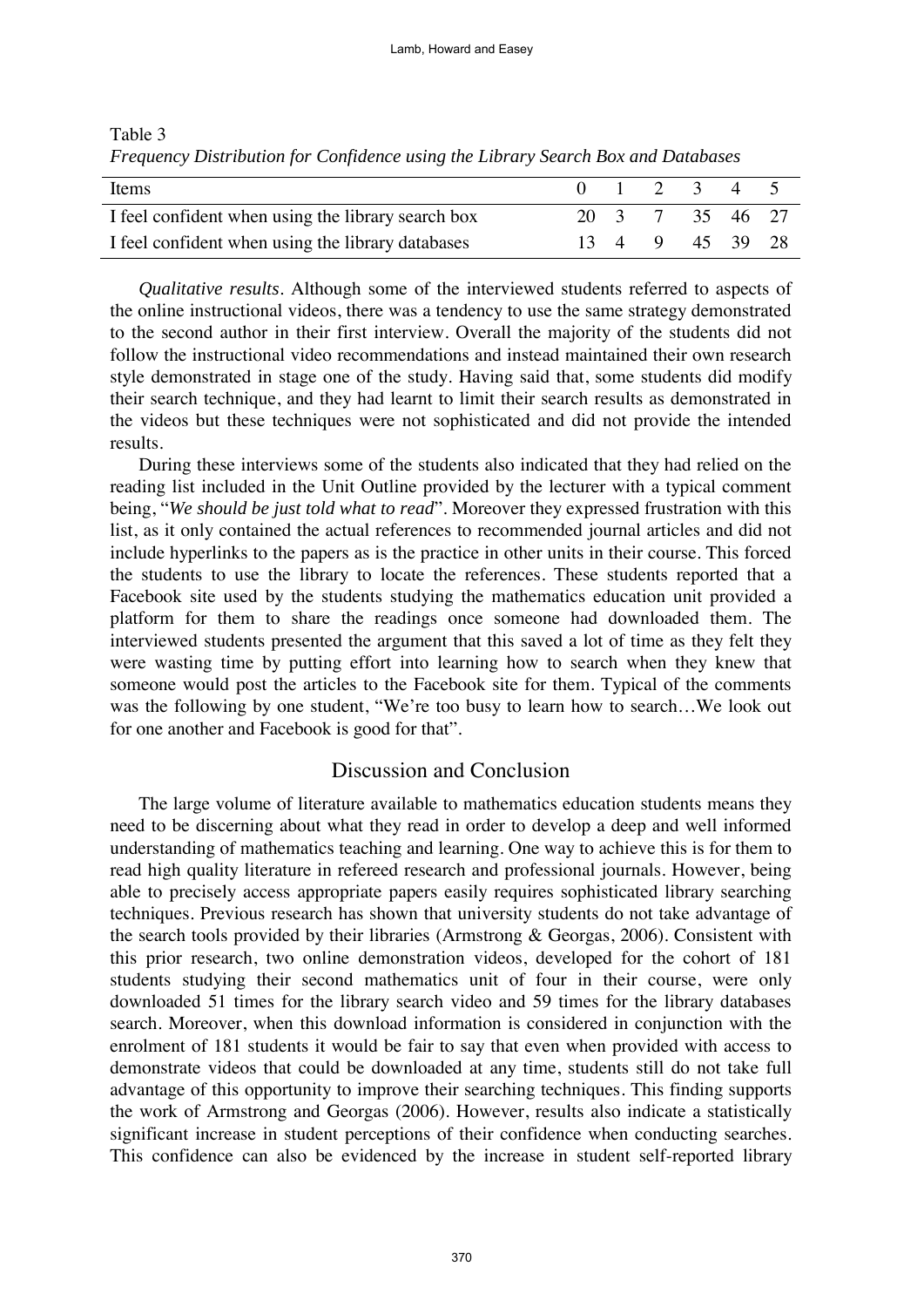| Items                                              |  | $0 \t1 \t2 \t3 \t4 \t5$ |  |  |
|----------------------------------------------------|--|-------------------------|--|--|
| I feel confident when using the library search box |  | 20 3 7 35 46 27         |  |  |
| I feel confident when using the library databases  |  | 13 4 9 45 39 28         |  |  |

Table 3 *Frequency Distribution for Confidence using the Library Search Box and Databases* 

*Qualitative results*. Although some of the interviewed students referred to aspects of the online instructional videos, there was a tendency to use the same strategy demonstrated to the second author in their first interview. Overall the majority of the students did not follow the instructional video recommendations and instead maintained their own research style demonstrated in stage one of the study. Having said that, some students did modify their search technique, and they had learnt to limit their search results as demonstrated in the videos but these techniques were not sophisticated and did not provide the intended results.

During these interviews some of the students also indicated that they had relied on the reading list included in the Unit Outline provided by the lecturer with a typical comment being, "*We should be just told what to read*". Moreover they expressed frustration with this list, as it only contained the actual references to recommended journal articles and did not include hyperlinks to the papers as is the practice in other units in their course. This forced the students to use the library to locate the references. These students reported that a Facebook site used by the students studying the mathematics education unit provided a platform for them to share the readings once someone had downloaded them. The interviewed students presented the argument that this saved a lot of time as they felt they were wasting time by putting effort into learning how to search when they knew that someone would post the articles to the Facebook site for them. Typical of the comments was the following by one student, "We're too busy to learn how to search...We look out for one another and Facebook is good for that".

## Discussion and Conclusion

The large volume of literature available to mathematics education students means they need to be discerning about what they read in order to develop a deep and well informed understanding of mathematics teaching and learning. One way to achieve this is for them to read high quality literature in refereed research and professional journals. However, being able to precisely access appropriate papers easily requires sophisticated library searching techniques. Previous research has shown that university students do not take advantage of the search tools provided by their libraries (Armstrong & Georgas, 2006). Consistent with this prior research, two online demonstration videos, developed for the cohort of 181 students studying their second mathematics unit of four in their course, were only downloaded 51 times for the library search video and 59 times for the library databases search. Moreover, when this download information is considered in conjunction with the enrolment of 181 students it would be fair to say that even when provided with access to demonstrate videos that could be downloaded at any time, students still do not take full advantage of this opportunity to improve their searching techniques. This finding supports the work of Armstrong and Georgas (2006). However, results also indicate a statistically significant increase in student perceptions of their confidence when conducting searches. This confidence can also be evidenced by the increase in student self-reported library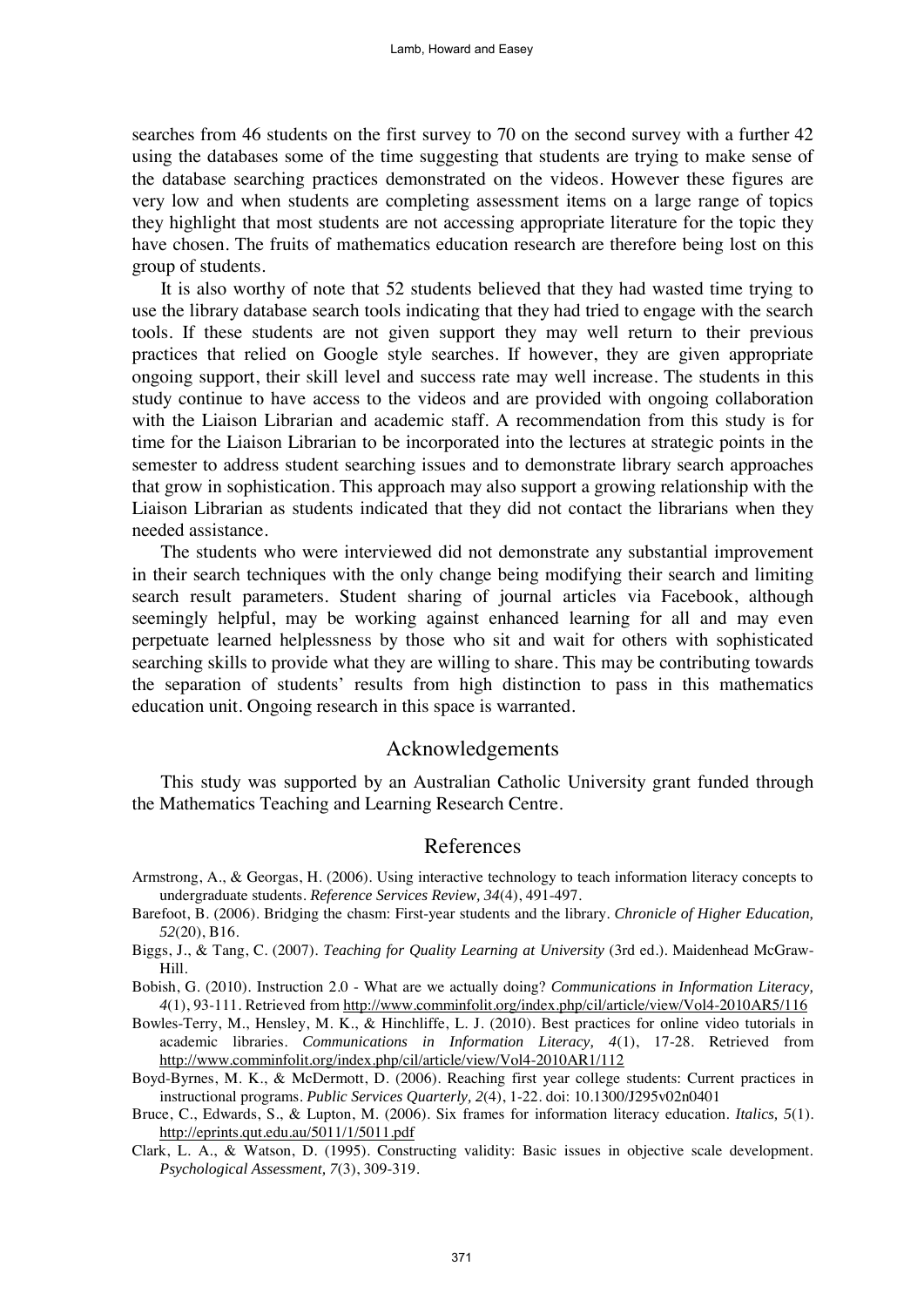searches from 46 students on the first survey to 70 on the second survey with a further 42 using the databases some of the time suggesting that students are trying to make sense of the database searching practices demonstrated on the videos. However these figures are very low and when students are completing assessment items on a large range of topics they highlight that most students are not accessing appropriate literature for the topic they have chosen. The fruits of mathematics education research are therefore being lost on this group of students.

It is also worthy of note that 52 students believed that they had wasted time trying to use the library database search tools indicating that they had tried to engage with the search tools. If these students are not given support they may well return to their previous practices that relied on Google style searches. If however, they are given appropriate ongoing support, their skill level and success rate may well increase. The students in this study continue to have access to the videos and are provided with ongoing collaboration with the Liaison Librarian and academic staff. A recommendation from this study is for time for the Liaison Librarian to be incorporated into the lectures at strategic points in the semester to address student searching issues and to demonstrate library search approaches that grow in sophistication. This approach may also support a growing relationship with the Liaison Librarian as students indicated that they did not contact the librarians when they needed assistance.

The students who were interviewed did not demonstrate any substantial improvement in their search techniques with the only change being modifying their search and limiting search result parameters. Student sharing of journal articles via Facebook, although seemingly helpful, may be working against enhanced learning for all and may even perpetuate learned helplessness by those who sit and wait for others with sophisticated searching skills to provide what they are willing to share. This may be contributing towards the separation of students' results from high distinction to pass in this mathematics education unit. Ongoing research in this space is warranted.

## Acknowledgements

This study was supported by an Australian Catholic University grant funded through the Mathematics Teaching and Learning Research Centre.

## References

- Armstrong, A., & Georgas, H. (2006). Using interactive technology to teach information literacy concepts to undergraduate students. *Reference Services Review, 34*(4), 491-497.
- Barefoot, B. (2006). Bridging the chasm: First-year students and the library. *Chronicle of Higher Education, 52*(20), B16.
- Biggs, J., & Tang, C. (2007). *Teaching for Quality Learning at University* (3rd ed.). Maidenhead McGraw-Hill.
- Bobish, G. (2010). Instruction 2.0 What are we actually doing? *Communications in Information Literacy, 4*(1), 93-111. Retrieved from http://www.comminfolit.org/index.php/cil/article/view/Vol4-2010AR5/116
- Bowles-Terry, M., Hensley, M. K., & Hinchliffe, L. J. (2010). Best practices for online video tutorials in academic libraries. *Communications in Information Literacy, 4*(1), 17-28. Retrieved from http://www.comminfolit.org/index.php/cil/article/view/Vol4-2010AR1/112
- Boyd-Byrnes, M. K., & McDermott, D. (2006). Reaching first year college students: Current practices in instructional programs. *Public Services Quarterly, 2*(4), 1-22. doi: 10.1300/J295v02n0401
- Bruce, C., Edwards, S., & Lupton, M. (2006). Six frames for information literacy education. *Italics, 5*(1). <http://eprints.qut.edu.au/5011/1/5011.pdf>
- Clark, L. A., & Watson, D. (1995). Constructing validity: Basic issues in objective scale development. *Psychological Assessment, 7*(3), 309-319.